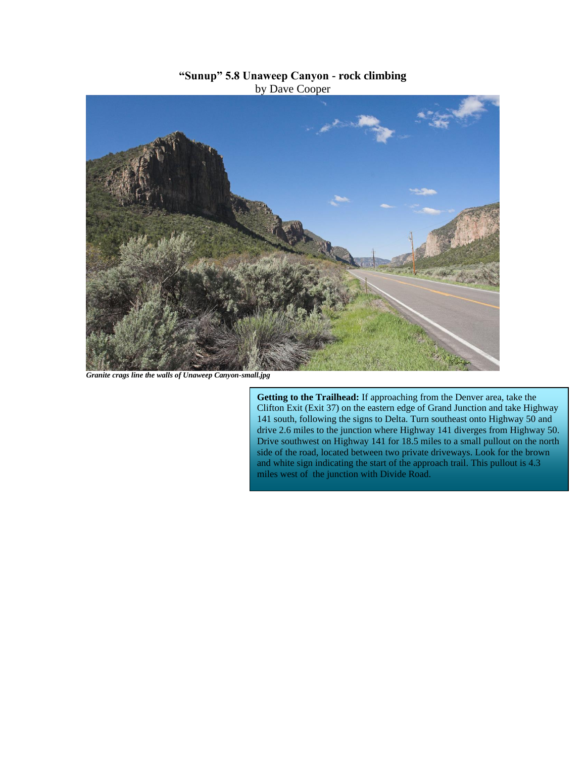## **"Sunup" 5.8 Unaweep Canyon - rock climbing** by Dave Cooper



*Granite crags line the walls of Unaweep Canyon-small.jpg*

**Getting to the Trailhead:** If approaching from the Denver area, take the Clifton Exit (Exit 37) on the eastern edge of Grand Junction and take Highway 141 south, following the signs to Delta. Turn southeast onto Highway 50 and drive 2.6 miles to the junction where Highway 141 diverges from Highway 50. Drive southwest on Highway 141 for 18.5 miles to a small pullout on the north side of the road, located between two private driveways. Look for the brown and white sign indicating the start of the approach trail. This pullout is 4.3 miles west of the junction with Divide Road.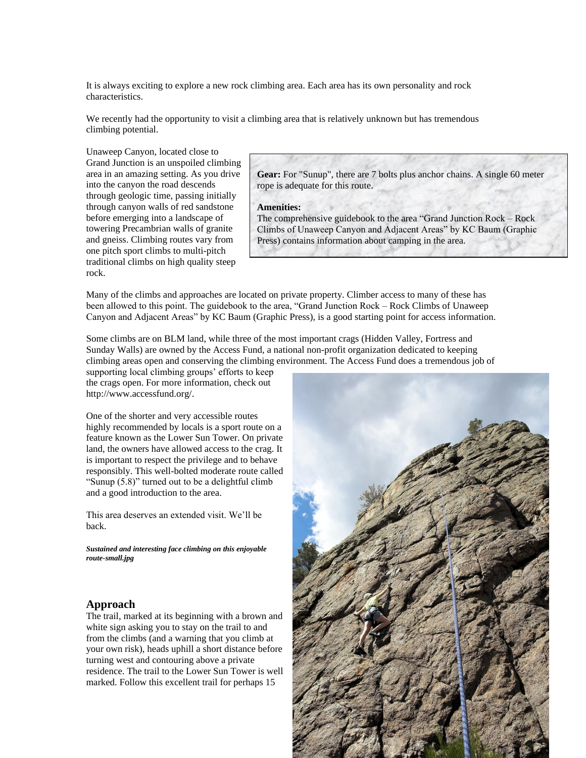It is always exciting to explore a new rock climbing area. Each area has its own personality and rock characteristics.

We recently had the opportunity to visit a climbing area that is relatively unknown but has tremendous climbing potential.

Unaweep Canyon, located close to Grand Junction is an unspoiled climbing area in an amazing setting. As you drive into the canyon the road descends through geologic time, passing initially through canyon walls of red sandstone before emerging into a landscape of towering Precambrian walls of granite and gneiss. Climbing routes vary from one pitch sport climbs to multi-pitch traditional climbs on high quality steep rock.

**Gear:** For "Sunup", there are 7 bolts plus anchor chains. A single 60 meter rope is adequate for this route.

## **Amenities:**

The comprehensive guidebook to the area "Grand Junction Rock – Rock Climbs of Unaweep Canyon and Adjacent Areas" by KC Baum (Graphic Press) contains information about camping in the area.

Many of the climbs and approaches are located on private property. Climber access to many of these has been allowed to this point. The guidebook to the area, "Grand Junction Rock – Rock Climbs of Unaweep Canyon and Adjacent Areas" by KC Baum (Graphic Press), is a good starting point for access information.

Some climbs are on BLM land, while three of the most important crags (Hidden Valley, Fortress and Sunday Walls) are owned by the Access Fund, a national non-profit organization dedicated to keeping climbing areas open and conserving the climbing environment. The Access Fund does a tremendous job of

supporting local climbing groups' efforts to keep the crags open. For more information, check out http://www.accessfund.org/.

One of the shorter and very accessible routes highly recommended by locals is a sport route on a feature known as the Lower Sun Tower. On private land, the owners have allowed access to the crag. It is important to respect the privilege and to behave responsibly. This well-bolted moderate route called "Sunup (5.8)" turned out to be a delightful climb and a good introduction to the area.

This area deserves an extended visit. We'll be back.

*Sustained and interesting face climbing on this enjoyable route-small.jpg*

## **Approach**

The trail, marked at its beginning with a brown and white sign asking you to stay on the trail to and from the climbs (and a warning that you climb at your own risk), heads uphill a short distance before turning west and contouring above a private residence. The trail to the Lower Sun Tower is well marked. Follow this excellent trail for perhaps 15

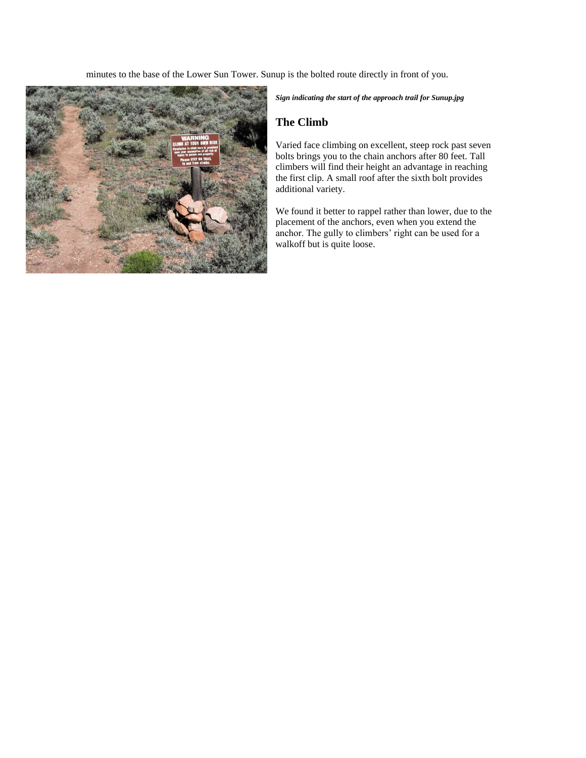minutes to the base of the Lower Sun Tower. Sunup is the bolted route directly in front of you.



*Sign indicating the start of the approach trail for Sunup.jpg*

## **The Climb**

Varied face climbing on excellent, steep rock past seven bolts brings you to the chain anchors after 80 feet. Tall climbers will find their height an advantage in reaching the first clip. A small roof after the sixth bolt provides additional variety.

We found it better to rappel rather than lower, due to the placement of the anchors, even when you extend the anchor. The gully to climbers' right can be used for a walkoff but is quite loose.